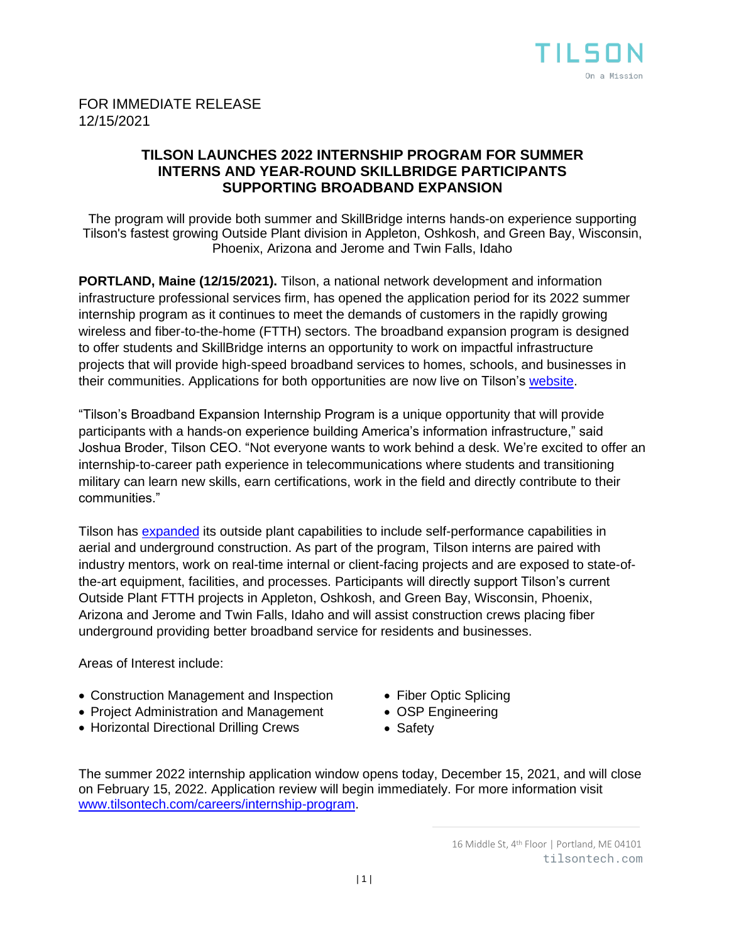

## FOR IMMEDIATE RELEASE 12/15/2021

## **TILSON LAUNCHES 2022 INTERNSHIP PROGRAM FOR SUMMER INTERNS AND YEAR-ROUND SKILLBRIDGE PARTICIPANTS SUPPORTING BROADBAND EXPANSION**

The program will provide both summer and SkillBridge interns hands-on experience supporting Tilson's fastest growing Outside Plant division in Appleton, Oshkosh, and Green Bay, Wisconsin, Phoenix, Arizona and Jerome and Twin Falls, Idaho

**PORTLAND, Maine (12/15/2021).** Tilson, a national network development and information infrastructure professional services firm, has opened the application period for its 2022 summer internship program as it continues to meet the demands of customers in the rapidly growing wireless and fiber-to-the-home (FTTH) sectors. The broadband expansion program is designed to offer students and SkillBridge interns an opportunity to work on impactful infrastructure projects that will provide high-speed broadband services to homes, schools, and businesses in their communities. Applications for both opportunities are now live on Tilson's [website.](https://tilsontech.wd1.myworkdayjobs.com/Tilson_External_Careers)

"Tilson's Broadband Expansion Internship Program is a unique opportunity that will provide participants with a hands-on experience building America's information infrastructure," said Joshua Broder, Tilson CEO. "Not everyone wants to work behind a desk. We're excited to offer an internship-to-career path experience in telecommunications where students and transitioning military can learn new skills, earn certifications, work in the field and directly contribute to their communities."

Tilson has [expanded](https://tilsontech.com/news-and-insights/press-releases/tilson-expands-outside-plant-self-performance) its outside plant capabilities to include self-performance capabilities in aerial and underground construction. As part of the program, Tilson interns are paired with industry mentors, work on real-time internal or client-facing projects and are exposed to state-ofthe-art equipment, facilities, and processes. Participants will directly support Tilson's current Outside Plant FTTH projects in Appleton, Oshkosh, and Green Bay, Wisconsin, Phoenix, Arizona and Jerome and Twin Falls, Idaho and will assist construction crews placing fiber underground providing better broadband service for residents and businesses.

Areas of Interest include:

- Construction Management and Inspection
- Project Administration and Management
- Horizontal Directional Drilling Crews
- Fiber Optic Splicing
- OSP Engineering
- Safety

The summer 2022 internship application window opens today, December 15, 2021, and will close on February 15, 2022. Application review will begin immediately. For more information visit [www.tilsontech.com/careers/internship-program.](http://www.tilsontech.com/careers/internship-program)

<sup>16</sup> Middle St, 4<sup>th</sup> Floor | Portland, ME 04101 tilsontech.com